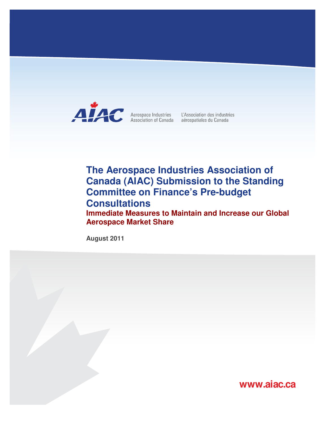

Aerospace Industries L'Association des industries<br>Association of Canada aérospatiales du Canada

# **The Aerospace Industries Association of Canada (AIAC) Submission to the Standing Committee on Finance's Pre-budget Consultations**

**Immediate Measures to Maintain and Increase our Global Aerospace Market Share** 

**August 2011** 

**www.aiac.ca**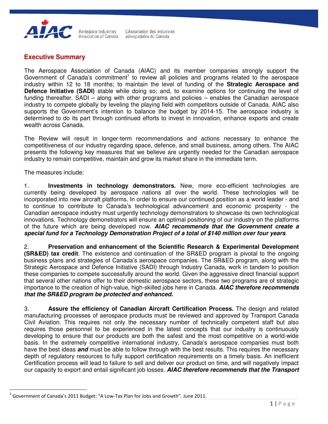

Aerospace Industries L'Association des industries Association of Canada aérospatiales du Canada

# **Executive Summary**

The Aerospace Association of Canada (AIAC) and its member companies strongly support the Government of Canada's commitment<sup>1</sup> to review all policies and programs related to the aerospace industry within 12 to 18 months; to maintain the level of funding of the **Strategic Aerospace and Defence Initiative (SADI)** stable while doing so; and, to examine options for continuing the level of funding thereafter. SADI – along with other programs and policies – enables the Canadian aerospace industry to compete globally by leveling the playing field with competitors outside of Canada. AIAC also supports the Government's intention to balance the budget by 2014-15. The aerospace industry is determined to do its part through continued efforts to invest in innovation, enhance exports and create wealth across Canada.

The Review will result in longer-term recommendations and actions necessary to enhance the competitiveness of our industry regarding space, defence, and small business, among others. The AIAC presents the following key measures that we believe are urgently needed for the Canadian aerospace industry to remain competitive, maintain and grow its market share in the immediate term.

The measures include:

l

1. **Investments in technology demonstrators.** New, more eco-efficient technologies are currently being developed by aerospace nations all over the world. These technologies will be incorporated into new aircraft platforms. In order to ensure our continued position as a world leader - and to continue to contribute to Canada's technological advancement and economic prosperity - the Canadian aerospace industry must urgently technology demonstrators to showcase its own technological innovations. Technology demonstrators will ensure an optimal positioning of our industry on the platforms of the future which are being developed now. **AIAC recommends that the Government create a special fund for a Technology Demonstration Project of a total of \$140 million over four years**.

2. **Preservation and enhancement of the Scientific Research & Experimental Development (SR&ED) tax credit**. The existence and continuation of the SR&ED program is pivotal to the ongoing business plans and strategies of Canada's aerospace companies. The SR&ED program, along with the Strategic Aerospace and Defence Initiative (SADI) through Industry Canada, work in tandem to position these companies to compete successfully around the world. Given the aggressive direct financial support that several other nations offer to their domestic aerospace sectors, these two programs are of strategic importance to the creation of high-value, high-skilled jobs here in Canada. **AIAC therefore recommends that the SR&ED program be protected and enhanced.**

3. **Assure the efficiency of Canadian Aircraft Certification Process.** The design and related manufacturing processes of aerospace products must be reviewed and approved by Transport Canada Civil Aviation. This requires not only the necessary number of technically competent staff but also requires those personnel to be experienced in the latest concepts that our industry is continuously developing to ensure that our products are both the safest and the most competitive on a world-wide basis. In the extremely competitive international industry, Canada's aerospace companies must both have the best ideas **and** must be able to follow through with the best results. This requires the necessary depth of regulatory resources to fully support certification requirements on a timely basis. An inefficient Certification process will lead to failure to sell and deliver our product on time, and will negatively impact our capacity to export and entail significant job losses. **AIAC therefore recommends that the Transport** 

<sup>1</sup> Government of Canada's 2011 Budget: "A Low-Tax Plan for Jobs and Growth". June 2011.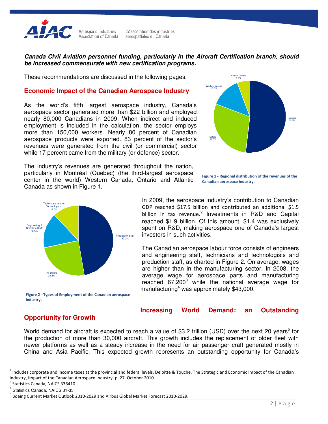

Aerospace Industries L'Association des industries Association of Canada aérospatiales du Canada

#### **Canada Civil Aviation personnel funding, particularly in the Aircraft Certification branch, should be increased commensurate with new certification programs.**

These recommendations are discussed in the following pages.

#### **Economic Impact of the Canadian Aerospace Industry**

As the world's fifth largest aerospace industry, Canada's aerospace sector generated more than \$22 billion and employed nearly 80,000 Canadians in 2009. When indirect and induced employment is included in the calculation, the sector employs more than 150,000 workers. Nearly 80 percent of Canadian aerospace products were exported. 83 percent of the sector's revenues were generated from the civil (or commercial) sector while 17 percent came from the military (or defence) sector.



The industry's revenues are generated throughout the nation, particularly in Montréal (Quebec) (the third-largest aerospace center in the world) Western Canada, Ontario and Atlantic Canada as shown in Figure 1.





In 2009, the aerospace industry's contribution to Canadian GDP reached \$17.5 billion and contributed an additional \$1.5 billion in tax revenue.<sup>2</sup> Investments in R&D and Capital reached \$1.9 billion. Of this amount, \$1.4 was exclusively spent on R&D, making aerospace one of Canada's largest investors in such activities.

The Canadian aerospace labour force consists of engineers and engineering staff, technicians and technologists and production staff, as charted in Figure 2. On average, wages are higher than in the manufacturing sector. In 2008, the average wage for aerospace parts and manufacturing reached 67,200<sup>3</sup> while the national average wage for manufacturing<sup>4</sup> was approximately \$43,000.

Figure 2 - Types of Employment of the Canadian aerospace industry.

## **Opportunity for Growth**

## **Increasing World Demand: an Outstanding**

World demand for aircraft is expected to reach a value of \$3.2 trillion (USD) over the next 20 years<sup>5</sup> for the production of more than 30,000 aircraft. This growth includes the replacement of older fleet with newer platforms as well as a steady increase in the need for air passenger craft generated mostly in China and Asia Pacific. This expected growth represents an outstanding opportunity for Canada's

l

 $^2$  Includes corporate and income taxes at the provincial and federal levels. Deloitte & Touche, The Strategic and Economic Impact of the Canadian Industry, Impact of the Canadian Aerospace Industry, p. 27. October 2010.

<sup>&</sup>lt;sup>3</sup> Statistics Canada, NAICS 336410.

<sup>4</sup> Statistics Canada, NAICS 31-33.

<sup>&</sup>lt;sup>5</sup> Boeing Current Market Outlook 2010-2029 and Airbus Global Market Forecast 2010-2029.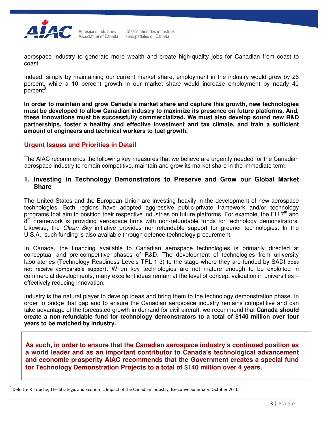

l

aerospace industry to generate more wealth and create high-quality jobs for Canadian from coast to coast.

Indeed, simply by maintaining our current market share, employment in the industry would grow by 26 percent, while a 10 percent growth in our market share would increase employment by nearly 40 percent<sup>6</sup>.

**In order to maintain and grow Canada's market share and capture this growth, new technologies must be developed to allow Canadian industry to maximize its presence on future platforms. And, these innovations must be successfully commercialized. We must also develop sound new R&D partnerships, foster a healthy and effective investment and tax climate, and train a sufficient amount of engineers and technical workers to fuel growth.** 

#### **Urgent Issues and Priorities in Detail**

The AIAC recommends the following key measures that we believe are urgently needed for the Canadian aerospace industry to remain competitive, maintain and grow its market share in the immediate term:

## **1. Investing in Technology Demonstrators to Preserve and Grow our Global Market Share**

The United States and the European Union are investing heavily in the development of new aerospace technologies. Both regions have adopted aggressive public-private framework and/or technology programs that aim to position their respective industries on future platforms. For example, the EU 7<sup>th</sup> and  $8<sup>th</sup>$  Framework is providing aerospace firms with non-refundable funds for technology demonstrators. Likewise, the Clean Sky initiative provides non-refundable support for greener technologies. In the U.S.A., such funding is also available through defence technology procurement.

In Canada, the financing available to Canadian aerospace technologies is primarily directed at conceptual and pre-competitive phases of R&D. The development of technologies from university laboratories (Technology Readiness Levels TRL 1-3) to the stage where they are funded by SADI does not receive comparable support. When key technologies are not mature enough to be exploited in commercial developments, many excellent ideas remain at the level of concept validation in universities – effectively reducing innovation.

Industry is the natural player to develop ideas and bring them to the technology demonstration phase. In order to bridge that gap and to ensure the Canadian aerospace industry remains competitive and can take advantage of the forecasted growth in demand for civil aircraft, we recommend that **Canada should create a non-refundable fund for technology demonstrators to a total of \$140 million over four years to be matched by industry.** 

**As such, in order to ensure that the Canadian aerospace industry's continued position as a world leader and as an important contributor to Canada's technological advancement and economic prosperity AIAC recommends that the Government creates a special fund for Technology Demonstration Projects to a total of \$140 million over 4 years.** 

<sup>6</sup> Deloitte & Touche, The Strategic and Economic Impact of the Canadian Industry, Executive Summary. October 2010.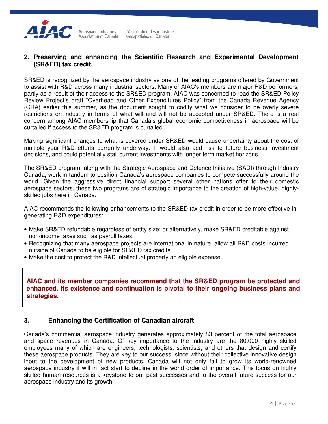

## **2. Preserving and enhancing the Scientific Research and Experimental Development (SR&ED) tax credit.**

SR&ED is recognized by the aerospace industry as one of the leading programs offered by Government to assist with R&D across many industrial sectors. Many of AIAC's members are major R&D performers, partly as a result of their access to the SR&ED program. AIAC was concerned to read the SR&ED Policy Review Project's draft "Overhead and Other Expenditures Policy" from the Canada Revenue Agency (CRA) earlier this summer, as the document sought to codify what we consider to be overly severe restrictions on industry in terms of what will and will not be accepted under SR&ED. There is a real concern among AIAC membership that Canada's global economic competiveness in aerospace will be curtailed if access to the SR&ED program is curtailed.

Making significant changes to what is covered under SR&ED would cause uncertainty about the cost of multiple year R&D efforts currently underway. It would also add risk to future business investment decisions, and could potentially stall current investments with longer term market horizons.

The SR&ED program, along with the Strategic Aerospace and Defence Initiative (SADI) through Industry Canada, work in tandem to position Canada's aerospace companies to compete successfully around the world. Given the aggressive direct financial support several other nations offer to their domestic aerospace sectors, these two programs are of strategic importance to the creation of high-value, highlyskilled jobs here in Canada.

AIAC recommends the following enhancements to the SR&ED tax credit in order to be more effective in generating R&D expenditures:

- Make SR&ED refundable regardless of entity size; or alternatively, make SR&ED creditable against non-income taxes such as payroll taxes.
- Recognizing that many aerospace projects are international in nature, allow all R&D costs incurred outside of Canada to be eligible for SR&ED tax credits.
- Make the cost to protect the R&D intellectual property an eligible expense.

**AIAC and its member companies recommend that the SR&ED program be protected and enhanced. Its existence and continuation is pivotal to their ongoing business plans and strategies.** 

## **3. Enhancing the Certification of Canadian aircraft**

Canada's commercial aerospace industry generates approximately 83 percent of the total aerospace and space revenues in Canada. Of key importance to the industry are the 80,000 highly skilled employees many of which are engineers, technologists, scientists, and others that design and certify these aerospace products. They are key to our success, since without their collective innovative design input to the development of new products, Canada will not only fail to grow its world-renowned aerospace industry it will in fact start to decline in the world order of importance. This focus on highly skilled human resources is a keystone to our past successes and to the overall future success for our aerospace industry and its growth.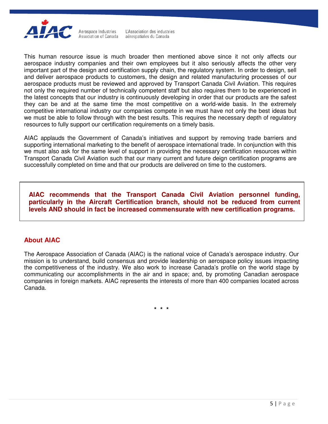

Aerospace Industries L'Association des industries **Association of Canada** aérospatiales du Canada

This human resource issue is much broader then mentioned above since it not only affects our aerospace industry companies and their own employees but it also seriously affects the other very important part of the design and certification supply chain, the regulatory system. In order to design, sell and deliver aerospace products to customers, the design and related manufacturing processes of our aerospace products must be reviewed and approved by Transport Canada Civil Aviation. This requires not only the required number of technically competent staff but also requires them to be experienced in the latest concepts that our industry is continuously developing in order that our products are the safest they can be and at the same time the most competitive on a world-wide basis. In the extremely competitive international industry our companies compete in we must have not only the best ideas but we must be able to follow through with the best results. This requires the necessary depth of regulatory resources to fully support our certification requirements on a timely basis.

AIAC applauds the Government of Canada's initiatives and support by removing trade barriers and supporting international marketing to the benefit of aerospace international trade. In conjunction with this we must also ask for the same level of support in providing the necessary certification resources within Transport Canada Civil Aviation such that our many current and future deign certification programs are successfully completed on time and that our products are delivered on time to the customers.

**AIAC recommends that the Transport Canada Civil Aviation personnel funding, particularly in the Aircraft Certification branch, should not be reduced from current levels AND should in fact be increased commensurate with new certification programs.** 

#### **About AIAC**

The Aerospace Association of Canada (AIAC) is the national voice of Canada's aerospace industry. Our mission is to understand, build consensus and provide leadership on aerospace policy issues impacting the competitiveness of the industry. We also work to increase Canada's profile on the world stage by communicating our accomplishments in the air and in space; and, by promoting Canadian aerospace companies in foreign markets. AIAC represents the interests of more than 400 companies located across Canada.

**\* \* \***